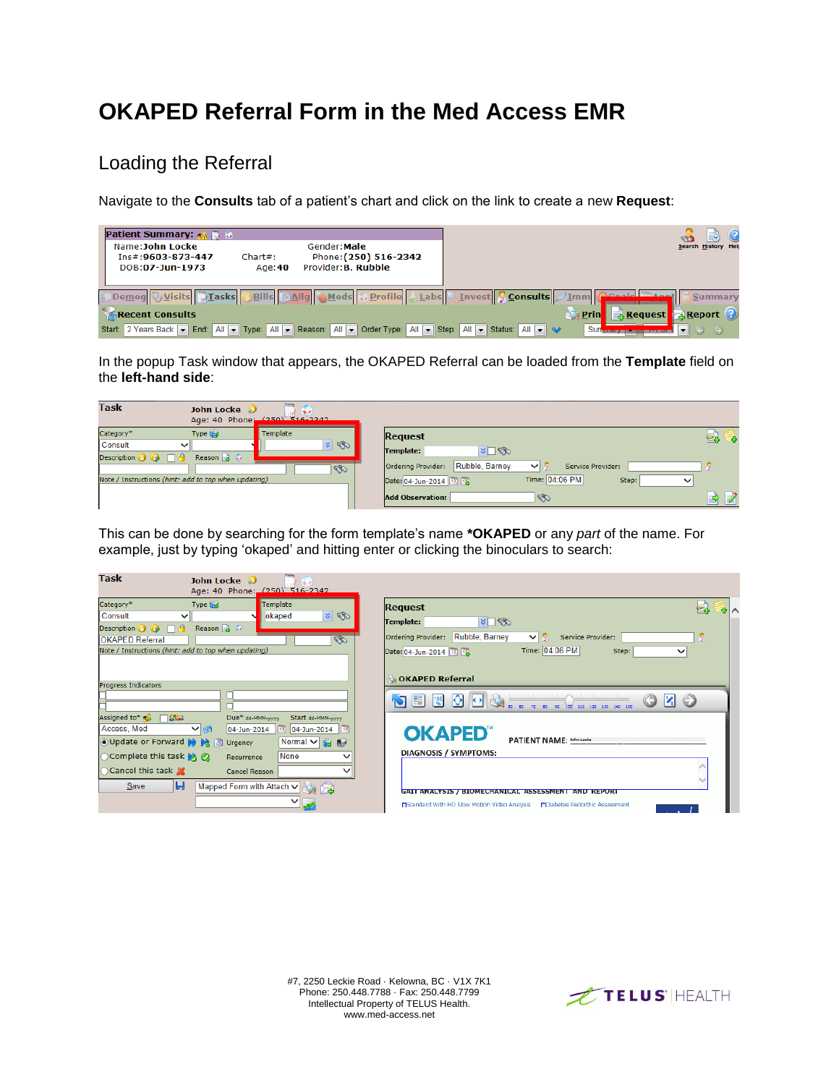# **OKAPED Referral Form in the Med Access EMR**

### Loading the Referral

Navigate to the **Consults** tab of a patient's chart and click on the link to create a new **Request**:

| <b>Patient Summary:</b> & D &                                                                                        |                  |                                                              |  |      |                        |
|----------------------------------------------------------------------------------------------------------------------|------------------|--------------------------------------------------------------|--|------|------------------------|
| Name:John Locke<br>Ins#:9603-873-447<br>DOB:07-Jun-1973                                                              | Char#:<br>Age:40 | Gender: Male<br>Phone: (250) 516-2342<br>Provider: B. Rubble |  |      | Search History Help    |
| Demog visits Tasks SBills + Allg Aleds & Profile   Labs Linvest Consults Jum Geoald Tanny                            |                  |                                                              |  |      | Summary                |
| Recent Consults                                                                                                      |                  |                                                              |  | Prin | & Request & Report (?) |
| Start: 2 Years Back T End: All T Type: All T Reason: All T Order Type: All T Step: All T Starts: All T Status: All T |                  |                                                              |  | Sun  |                        |

In the popup Task window that appears, the OKAPED Referral can be loaded from the **Template** field on the **left-hand side**:

| <b>Task</b><br>John Locke 3                                                           | **<br>Age: 40 Phone: (250) 516-2342 |                                                                                                                    |    |
|---------------------------------------------------------------------------------------|-------------------------------------|--------------------------------------------------------------------------------------------------------------------|----|
| Type to<br>Category*<br>Consult<br>ັ                                                  | Template<br>$ z $ $\circledast$     | <b>Request</b>                                                                                                     | E. |
| Reason $\frac{1}{6}$ $\frac{1}{6}$<br>Description $\bullet$ $\bullet$ $\Box$ $\theta$ | $\circ$                             | $\triangledown$ $\blacksquare$<br>Template:<br>Rubble, Barney<br>Ordering Provider:<br>Service Provider:<br>$\vee$ |    |
| Note / Instructions (hint: add to top when updating)                                  |                                     | Time: 04:06 PM<br>Date: 04-Jun-2014 73 73<br>Step:<br>$\checkmark$<br><b>Add Observation:</b><br>☜                 |    |

This can be done by searching for the form template's name **\*OKAPED** or any *part* of the name. For example, just by typing 'okaped' and hitting enter or clicking the binoculars to search:

| Task<br>John Locke 3<br>Age: 40 Phone: (250) 516-2342                                                                                                                                                                               |                                                                                                                                                                                              |
|-------------------------------------------------------------------------------------------------------------------------------------------------------------------------------------------------------------------------------------|----------------------------------------------------------------------------------------------------------------------------------------------------------------------------------------------|
| Category*<br>Template<br>Type that<br> z <br>Consult<br>okaped<br>Reason $\mathbb{R}$ $\Omega$<br>Description 8 8<br>Пe<br>$\infty$<br><b>OKAPED Referral</b><br>Note / Instructions (hint: add to top when updating)               | <b>Request</b><br>е.<br>$\sqrt{2}$<br>Template:<br>Rubble, Barney<br>Ordering Provider:<br>Service Provider:<br>$\vee$<br>Time: 04:06 PM<br>Date: 04-Jun-2014 72 72<br>Step:<br>$\checkmark$ |
| <b>Progress Indicators</b><br>Assigned to* $\mathbb{R}^3$ $\Box$ $\mathbb{S}^{23}$<br>Due* dd-MMM-yyyy<br>Start dd-MMM-yyyy                                                                                                         | <b>OKAPED Referral</b><br>IO.<br>$\mathbf{v}$ $\odot$<br>$\bigtriangledown$ $\mathbb{F}$ $\mathbb{R}$<br>110 120 120                                                                         |
| Access, Med<br>MM<br>04-Jun-2014<br>04-Jun-2014<br>$\left  \right $ 12<br>● Update or Forward D D Dg m Urgency<br>Normal $\vee$ as as<br>None<br>Complete this task <b>N</b><br>Recurrence<br>◯ Cancel this task X<br>Cancel Reason | <b>OKAPED</b><br>PATIENT NAME: 30hm Locks<br>DIAGNOSIS / SYMPTOMS:                                                                                                                           |
| Н<br>Save<br>Mapped Form with Attach V                                                                                                                                                                                              | GAIT ANALYSIS / BIOMECHANICAL ASSESSMENT AND REPORT<br><b>Fi</b> Standard With HD Slow Motion Video Analysis<br><b>MDiabetes Pedorthic Assessment</b>                                        |

#7, 2250 Leckie Road · Kelowna, BC · V1X 7K1 Phone: 250.448.7788 · Fax: 250.448.7799 Intellectual Property of TELUS Health. www.med-access.net

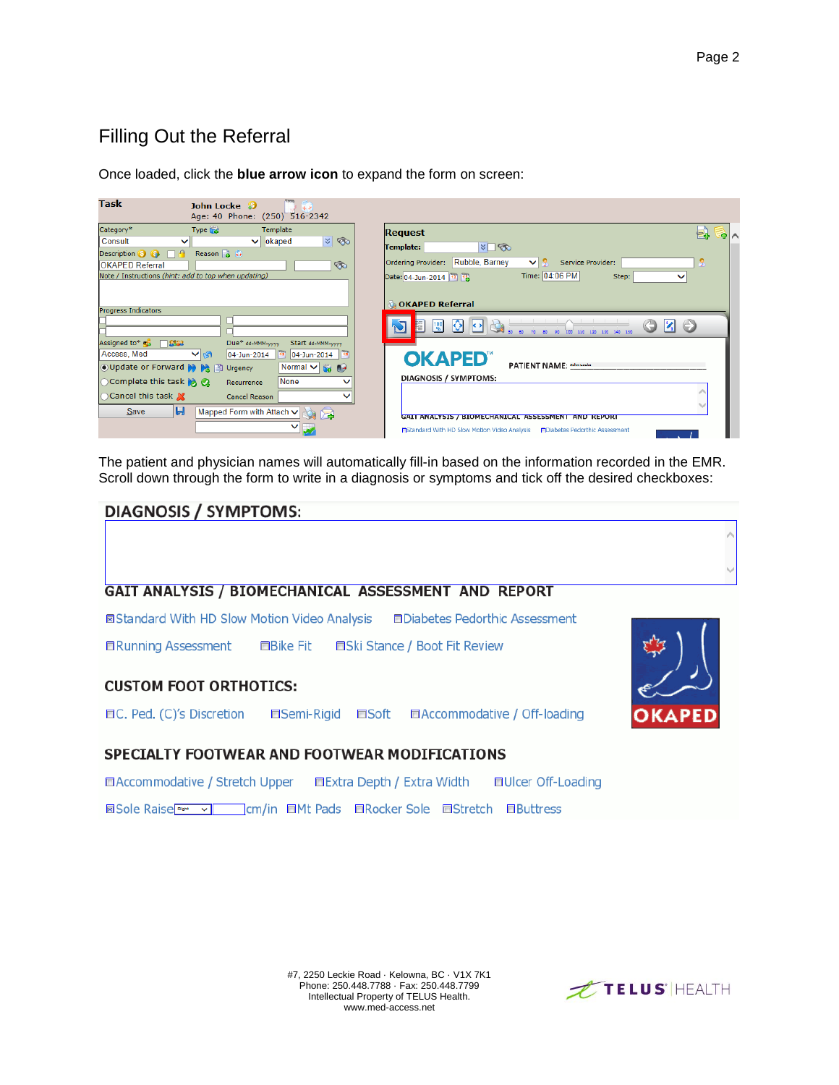### Filling Out the Referral

| Task                                                 | John Locke 5<br>Age: 40 Phone: (250) 516-2342 |                           |                                                                                                                                                       |
|------------------------------------------------------|-----------------------------------------------|---------------------------|-------------------------------------------------------------------------------------------------------------------------------------------------------|
| Category*                                            | Type that                                     | Template                  | <b>Request</b><br>e.<br>中へ                                                                                                                            |
| Consult                                              | $\checkmark$<br>◡                             | z <br>okaped              | $\triangledown$<br>Template:                                                                                                                          |
| Description 8 8<br>$\Box$ e                          | Reason $\frac{1}{2}$ $\frac{1}{2}$            |                           |                                                                                                                                                       |
| <b>OKAPED Referral</b>                               |                                               | $\circledcirc$            | Rubble, Barney<br>Ordering Provider:<br>Service Provider:<br>$\vee$ 2.                                                                                |
| Note / Instructions (hint: add to top when updating) |                                               |                           | Time: 04:06 PM<br>Step:<br>Date: 04-Jun-2014 72 73<br>$\checkmark$                                                                                    |
|                                                      |                                               |                           |                                                                                                                                                       |
| <b>Progress Indicators</b>                           |                                               |                           | <b>GOKAPED Referral</b>                                                                                                                               |
|                                                      |                                               |                           |                                                                                                                                                       |
|                                                      |                                               |                           | $ 0 $ $ 0 $<br><b>E</b><br>$\frac{100}{96}$                                                                                                           |
| Assigned to* $\approx$ $\approx$ $\approx$ 3         | Due* dd-MMM-yyyy                              | Start dd-MMM-yyyy         |                                                                                                                                                       |
| Access, Med                                          | $\vee$ is $\vee$                              | 04-Jun-2014 3 04-Jun-2014 | <b>OKAPED</b>                                                                                                                                         |
| ● Update or Forward N N 图                            | Urgency                                       | Normal V to A             | PATIENT NAME: 30hm Locks                                                                                                                              |
| ○ Complete this task > 2                             | Recurrence                                    | None<br>$\checkmark$      | DIAGNOSIS / SYMPTOMS:                                                                                                                                 |
| ◯ Cancel this task X                                 | Cancel Reason                                 |                           |                                                                                                                                                       |
| Ы<br>Save                                            | Mapped Form with Attach $\vee$                | o z                       |                                                                                                                                                       |
|                                                      |                                               | $\checkmark$              | GAIT ANALYSIS / BIOMECHANICAL ASSESSMENT AND REPORT<br><b>Fi</b> Standard With HD Slow Motion Video Analysis<br><b>PDiabetes Pedorthic Assessment</b> |
|                                                      |                                               |                           |                                                                                                                                                       |

Once loaded, click the **blue arrow icon** to expand the form on screen:

The patient and physician names will automatically fill-in based on the information recorded in the EMR. Scroll down through the form to write in a diagnosis or symptoms and tick off the desired checkboxes:

### **DIAGNOSIS / SYMPTOMS:**

#### GAIT ANALYSIS / BIOMECHANICAL ASSESSMENT AND REPORT

**⊠Standard With HD Slow Motion Video Analysis EDiabetes Pedorthic Assessment** 

**ERunning Assessment EBike Fit ESki Stance / Boot Fit Review** 

#### **CUSTOM FOOT ORTHOTICS:**

□C. Ped. (C)'s Discretion **■Semi-Rigid ■Soft ■Accommodative / Off-loading** 





#### SPECIALTY FOOTWEAR AND FOOTWEAR MODIFICATIONS

**■Accommodative / Stretch Upper** ■Extra Depth / Extra Width **EUIcer Off-Loading** 

**ISOLE Raise**<sup>Rem</sup> v | Cm/in EIMt Pads EIRocker Sole EIStretch EIButtress

#7, 2250 Leckie Road · Kelowna, BC · V1X 7K1 Phone: 250.448.7788 · Fax: 250.448.7799 Intellectual Property of TELUS Health. www.med-access.net